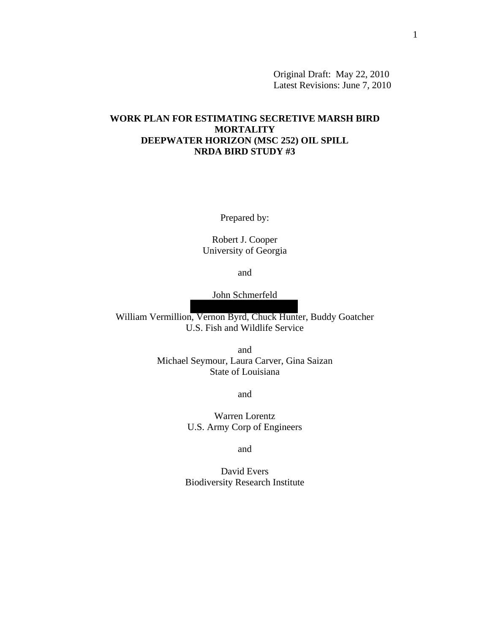Original Draft: May 22, 2010 Latest Revisions: June 7, 2010

# **WORK PLAN FOR ESTIMATING SECRETIVE MARSH BIRD MORTALITY DEEPWATER HORIZON (MSC 252) OIL SPILL NRDA BIRD STUDY #3**

Prepared by:

Robert J. Cooper University of Georgia

and

John Schmerfeld

William Vermillion, Vernon Byrd, Chuck Hunter, Buddy Goatcher U.S. Fish and Wildlife Service

> and Michael Seymour, Laura Carver, Gina Saizan State of Louisiana

> > and

Warren Lorentz U.S. Army Corp of Engineers

and

David Evers Biodiversity Research Institute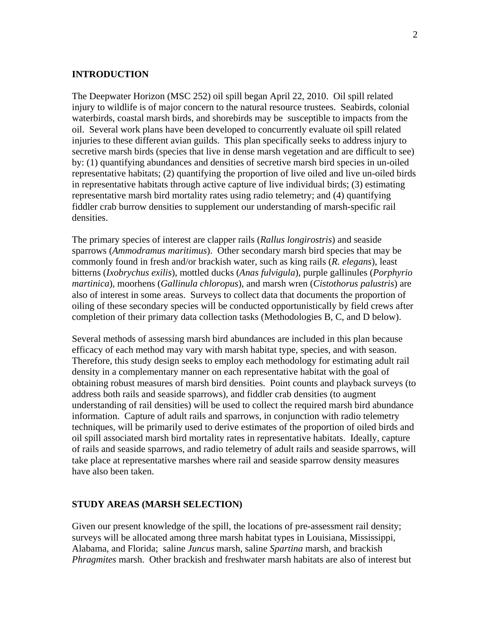# **INTRODUCTION**

The Deepwater Horizon (MSC 252) oil spill began April 22, 2010. Oil spill related injury to wildlife is of major concern to the natural resource trustees. Seabirds, colonial waterbirds, coastal marsh birds, and shorebirds may be susceptible to impacts from the oil. Several work plans have been developed to concurrently evaluate oil spill related injuries to these different avian guilds. This plan specifically seeks to address injury to secretive marsh birds (species that live in dense marsh vegetation and are difficult to see) by: (1) quantifying abundances and densities of secretive marsh bird species in un-oiled representative habitats; (2) quantifying the proportion of live oiled and live un-oiled birds in representative habitats through active capture of live individual birds; (3) estimating representative marsh bird mortality rates using radio telemetry; and (4) quantifying fiddler crab burrow densities to supplement our understanding of marsh-specific rail densities.

The primary species of interest are clapper rails (*Rallus longirostris*) and seaside sparrows (*Ammodramus maritimus*). Other secondary marsh bird species that may be commonly found in fresh and/or brackish water, such as king rails (*R. elegans*), least bitterns (*Ixobrychus exilis*), mottled ducks (*Anas fulvigula*), purple gallinules (*Porphyrio martinica*), moorhens (*Gallinula chloropus*), and marsh wren (*Cistothorus palustris*) are also of interest in some areas. Surveys to collect data that documents the proportion of oiling of these secondary species will be conducted opportunistically by field crews after completion of their primary data collection tasks (Methodologies B, C, and D below).

efficacy of each method may vary with marsh habitat type, species, and with season. Several methods of assessing marsh bird abundances are included in this plan because Therefore, this study design seeks to employ each methodology for estimating adult rail density in a complementary manner on each representative habitat with the goal of obtaining robust measures of marsh bird densities. Point counts and playback surveys (to address both rails and seaside sparrows), and fiddler crab densities (to augment understanding of rail densities) will be used to collect the required marsh bird abundance information. Capture of adult rails and sparrows, in conjunction with radio telemetry techniques, will be primarily used to derive estimates of the proportion of oiled birds and oil spill associated marsh bird mortality rates in representative habitats. Ideally, capture of rails and seaside sparrows, and radio telemetry of adult rails and seaside sparrows, will take place at representative marshes where rail and seaside sparrow density measures have also been taken.

#### **STUDY AREAS (MARSH SELECTION)**

Given our present knowledge of the spill, the locations of pre-assessment rail density; surveys will be allocated among three marsh habitat types in Louisiana, Mississippi, Alabama, and Florida; saline *Juncus* marsh, saline *Spartina* marsh, and brackish *Phragmites* marsh. Other brackish and freshwater marsh habitats are also of interest but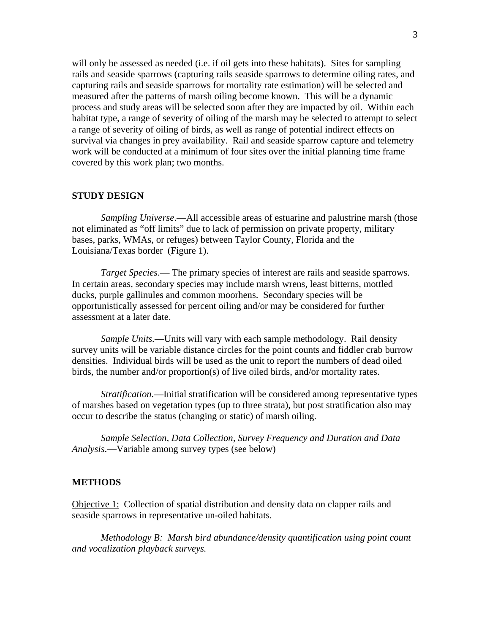will only be assessed as needed (i.e. if oil gets into these habitats). Sites for sampling rails and seaside sparrows (capturing rails seaside sparrows to determine oiling rates, and capturing rails and seaside sparrows for mortality rate estimation) will be selected and measured after the patterns of marsh oiling become known. This will be a dynamic process and study areas will be selected soon after they are impacted by oil. Within each habitat type, a range of severity of oiling of the marsh may be selected to attempt to select a range of severity of oiling of birds, as well as range of potential indirect effects on survival via changes in prey availability. Rail and seaside sparrow capture and telemetry work will be conducted at a minimum of four sites over the initial planning time frame covered by this work plan; two months.

#### **STUDY DESIGN**

*Sampling Universe*.—All accessible areas of estuarine and palustrine marsh (those not eliminated as "off limits" due to lack of permission on private property, military bases, parks, WMAs, or refuges) between Taylor County, Florida and the Louisiana/Texas border (Figure 1).

*Target Species*.— The primary species of interest are rails and seaside sparrows. In certain areas, secondary species may include marsh wrens, least bitterns, mottled ducks, purple gallinules and common moorhens. Secondary species will be opportunistically assessed for percent oiling and/or may be considered for further assessment at a later date.

*Sample Units.*—Units will vary with each sample methodology. Rail density survey units will be variable distance circles for the point counts and fiddler crab burrow densities. Individual birds will be used as the unit to report the numbers of dead oiled birds, the number and/or proportion(s) of live oiled birds, and/or mortality rates.

*Stratification*.—Initial stratification will be considered among representative types of marshes based on vegetation types (up to three strata), but post stratification also may occur to describe the status (changing or static) of marsh oiling.

*Sample Selection, Data Collection, Survey Frequency and Duration and Data Analysis*.—Variable among survey types (see below)

#### **METHODS**

Objective 1: Collection of spatial distribution and density data on clapper rails and seaside sparrows in representative un-oiled habitats.

*Methodology B: Marsh bird abundance/density quantification using point count and vocalization playback surveys.*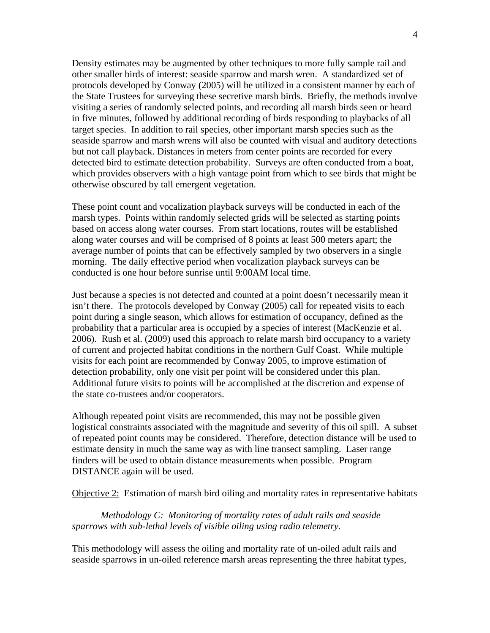Density estimates may be augmented by other techniques to more fully sample rail and other smaller birds of interest: seaside sparrow and marsh wren. A standardized set of protocols developed by Conway (2005) will be utilized in a consistent manner by each of the State Trustees for surveying these secretive marsh birds. Briefly, the methods involve visiting a series of randomly selected points, and recording all marsh birds seen or heard in five minutes, followed by additional recording of birds responding to playbacks of all target species. In addition to rail species, other important marsh species such as the seaside sparrow and marsh wrens will also be counted with visual and auditory detections but not call playback. Distances in meters from center points are recorded for every detected bird to estimate detection probability. Surveys are often conducted from a boat, which provides observers with a high vantage point from which to see birds that might be otherwise obscured by tall emergent vegetation.

These point count and vocalization playback surveys will be conducted in each of the marsh types. Points within randomly selected grids will be selected as starting points based on access along water courses. From start locations, routes will be established along water courses and will be comprised of 8 points at least 500 meters apart; the average number of points that can be effectively sampled by two observers in a single morning. The daily effective period when vocalization playback surveys can be conducted is one hour before sunrise until 9:00AM local time.

Just because a species is not detected and counted at a point doesn't necessarily mean it isn't there. The protocols developed by Conway (2005) call for repeated visits to each point during a single season, which allows for estimation of occupancy, defined as the probability that a particular area is occupied by a species of interest (MacKenzie et al. 2006). Rush et al. (2009) used this approach to relate marsh bird occupancy to a variety of current and projected habitat conditions in the northern Gulf Coast. While multiple visits for each point are recommended by Conway 2005, to improve estimation of detection probability, only one visit per point will be considered under this plan. Additional future visits to points will be accomplished at the discretion and expense of the state co-trustees and/or cooperators.

Although repeated point visits are recommended, this may not be possible given logistical constraints associated with the magnitude and severity of this oil spill. A subset of repeated point counts may be considered. Therefore, detection distance will be used to estimate density in much the same way as with line transect sampling. Laser range finders will be used to obtain distance measurements when possible. Program DISTANCE again will be used.

Objective 2: Estimation of marsh bird oiling and mortality rates in representative habitats

*Methodology C: Monitoring of mortality rates of adult rails and seaside sparrows with sub-lethal levels of visible oiling using radio telemetry.* 

This methodology will assess the oiling and mortality rate of un-oiled adult rails and seaside sparrows in un-oiled reference marsh areas representing the three habitat types,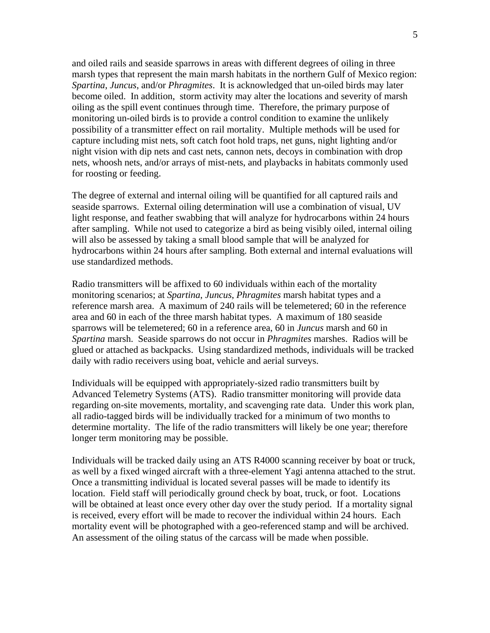and oiled rails and seaside sparrows in areas with different degrees of oiling in three marsh types that represent the main marsh habitats in the northern Gulf of Mexico region: *Spartina*, *Juncus*, and/or *Phragmites*. It is acknowledged that un-oiled birds may later become oiled. In addition, storm activity may alter the locations and severity of marsh oiling as the spill event continues through time. Therefore, the primary purpose of monitoring un-oiled birds is to provide a control condition to examine the unlikely possibility of a transmitter effect on rail mortality. Multiple methods will be used for capture including mist nets, soft catch foot hold traps, net guns, night lighting and/or night vision with dip nets and cast nets, cannon nets, decoys in combination with drop nets, whoosh nets, and/or arrays of mist-nets, and playbacks in habitats commonly used for roosting or feeding.

The degree of external and internal oiling will be quantified for all captured rails and seaside sparrows. External oiling determination will use a combination of visual, UV light response, and feather swabbing that will analyze for hydrocarbons within 24 hours after sampling. While not used to categorize a bird as being visibly oiled, internal oiling will also be assessed by taking a small blood sample that will be analyzed for hydrocarbons within 24 hours after sampling. Both external and internal evaluations will use standardized methods.

Radio transmitters will be affixed to 60 individuals within each of the mortality monitoring scenarios; at *Spartina*, *Juncus*, *Phragmites* marsh habitat types and a reference marsh area. A maximum of 240 rails will be telemetered; 60 in the reference area and 60 in each of the three marsh habitat types. A maximum of 180 seaside sparrows will be telemetered; 60 in a reference area, 60 in *Juncus* marsh and 60 in *Spartina* marsh. Seaside sparrows do not occur in *Phragmites* marshes. Radios will be glued or attached as backpacks. Using standardized methods, individuals will be tracked daily with radio receivers using boat, vehicle and aerial surveys.

Individuals will be equipped with appropriately-sized radio transmitters built by Advanced Telemetry Systems (ATS). Radio transmitter monitoring will provide data regarding on-site movements, mortality, and scavenging rate data. Under this work plan, all radio-tagged birds will be individually tracked for a minimum of two months to determine mortality. The life of the radio transmitters will likely be one year; therefore longer term monitoring may be possible.

Individuals will be tracked daily using an ATS R4000 scanning receiver by boat or truck, as well by a fixed winged aircraft with a three-element Yagi antenna attached to the strut. Once a transmitting individual is located several passes will be made to identify its location. Field staff will periodically ground check by boat, truck, or foot. Locations will be obtained at least once every other day over the study period. If a mortality signal is received, every effort will be made to recover the individual within 24 hours. Each mortality event will be photographed with a geo-referenced stamp and will be archived. An assessment of the oiling status of the carcass will be made when possible.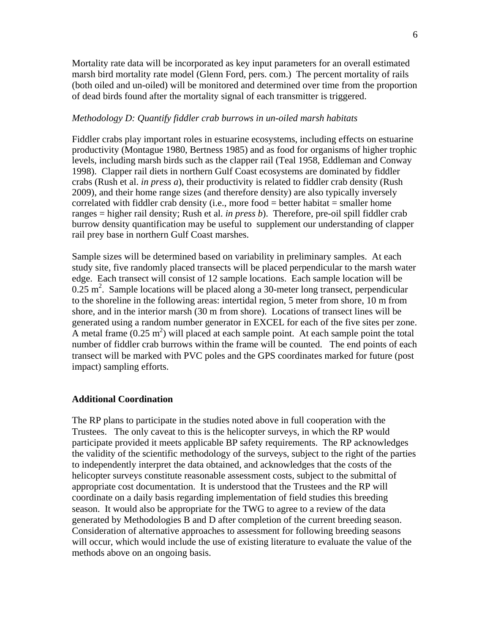Mortality rate data will be incorporated as key input parameters for an overall estimated marsh bird mortality rate model (Glenn Ford, pers. com.) The percent mortality of rails (both oiled and un-oiled) will be monitored and determined over time from the proportion of dead birds found after the mortality signal of each transmitter is triggered.

#### *Methodology D: Quantify fiddler crab burrows in un-oiled marsh habitats*

Fiddler crabs play important roles in estuarine ecosystems, including effects on estuarine productivity (Montague 1980, Bertness 1985) and as food for organisms of higher trophic levels, including marsh birds such as the clapper rail (Teal 1958, Eddleman and Conway 1998). Clapper rail diets in northern Gulf Coast ecosystems are dominated by fiddler crabs (Rush et al. *in press a*), their productivity is related to fiddler crab density (Rush 2009), and their home range sizes (and therefore density) are also typically inversely correlated with fiddler crab density (i.e., more food = better habitat = smaller home ranges = higher rail density; Rush et al. *in press b*). Therefore, pre-oil spill fiddler crab burrow density quantification may be useful to supplement our understanding of clapper rail prey base in northern Gulf Coast marshes.

Sample sizes will be determined based on variability in preliminary samples. At each study site, five randomly placed transects will be placed perpendicular to the marsh water edge. Each transect will consist of 12 sample locations. Each sample location will be  $0.25$  m<sup>2</sup>. Sample locations will be placed along a 30-meter long transect, perpendicular to the shoreline in the following areas: intertidal region, 5 meter from shore, 10 m from shore, and in the interior marsh (30 m from shore). Locations of transect lines will be generated using a random number generator in EXCEL for each of the five sites per zone. A metal frame  $(0.25 \text{ m}^2)$  will placed at each sample point. At each sample point the total number of fiddler crab burrows within the frame will be counted. The end points of each transect will be marked with PVC poles and the GPS coordinates marked for future (post impact) sampling efforts.

#### **Additional Coordination**

The RP plans to participate in the studies noted above in full cooperation with the Trustees. The only caveat to this is the helicopter surveys, in which the RP would participate provided it meets applicable BP safety requirements. The RP acknowledges the validity of the scientific methodology of the surveys, subject to the right of the parties to independently interpret the data obtained, and acknowledges that the costs of the helicopter surveys constitute reasonable assessment costs, subject to the submittal of appropriate cost documentation. It is understood that the Trustees and the RP will coordinate on a daily basis regarding implementation of field studies this breeding season. It would also be appropriate for the TWG to agree to a review of the data generated by Methodologies B and D after completion of the current breeding season. Consideration of alternative approaches to assessment for following breeding seasons will occur, which would include the use of existing literature to evaluate the value of the methods above on an ongoing basis.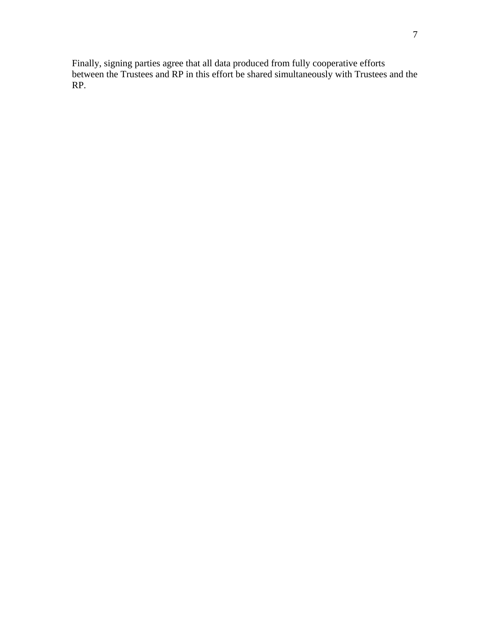Finally, signing parties agree that all data produced from fully cooperative efforts between the Trustees and RP in this effort be shared simultaneously with Trustees and the RP.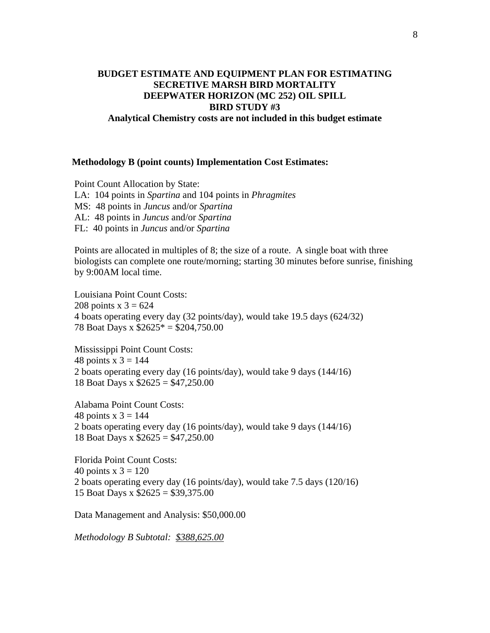# **BUDGET ESTIMATE AND EQUIPMENT PLAN FOR ESTIMATING SECRETIVE MARSH BIRD MORTALITY DEEPWATER HORIZON (MC 252) OIL SPILL BIRD STUDY #3 Analytical Chemistry costs are not included in this budget estimate**

### **Methodology B (point counts) Implementation Cost Estimates:**

Point Count Allocation by State: LA: 104 points in *Spartina* and 104 points in *Phragmites* MS: 48 points in *Juncus* and/or *Spartina* AL: 48 points in *Juncus* and/or *Spartina* FL: 40 points in *Juncus* and/or *Spartina*

Points are allocated in multiples of 8; the size of a route. A single boat with three biologists can complete one route/morning; starting 30 minutes before sunrise, finishing by 9:00AM local time.

Louisiana Point Count Costs: 208 points  $x = 3624$ 4 boats operating every day (32 points/day), would take 19.5 days (624/32) 78 Boat Days x \$2625\* = \$204,750.00

Mississippi Point Count Costs: 48 points  $x = 3 = 144$ 2 boats operating every day (16 points/day), would take 9 days (144/16) 18 Boat Days x \$2625 = \$47,250.00

Alabama Point Count Costs: 48 points  $x = 3 = 144$ 2 boats operating every day (16 points/day), would take 9 days (144/16) 18 Boat Days x \$2625 = \$47,250.00

Florida Point Count Costs: 40 points  $x = 3 = 120$ 2 boats operating every day (16 points/day), would take 7.5 days (120/16) 15 Boat Days x \$2625 = \$39,375.00

Data Management and Analysis: \$50,000.00

*Methodology B Subtotal: \$388,625.00*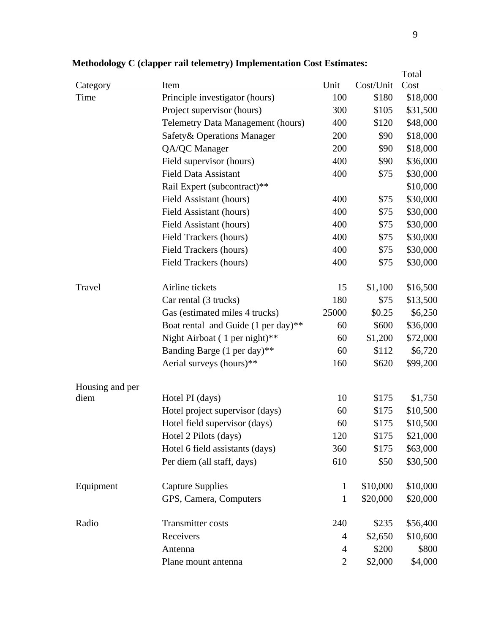|                 |                                          |                |           | Total    |
|-----------------|------------------------------------------|----------------|-----------|----------|
| Category        | Item                                     | Unit           | Cost/Unit | Cost     |
| Time            | Principle investigator (hours)           | 100            | \$180     | \$18,000 |
|                 | Project supervisor (hours)               | 300            | \$105     | \$31,500 |
|                 | <b>Telemetry Data Management (hours)</b> | 400            | \$120     | \$48,000 |
|                 | Safety & Operations Manager              | 200            | \$90      | \$18,000 |
|                 | QA/QC Manager                            | 200            | \$90      | \$18,000 |
|                 | Field supervisor (hours)                 | 400            | \$90      | \$36,000 |
|                 | <b>Field Data Assistant</b>              | 400            | \$75      | \$30,000 |
|                 | Rail Expert (subcontract)**              |                |           | \$10,000 |
|                 | Field Assistant (hours)                  | 400            | \$75      | \$30,000 |
|                 | Field Assistant (hours)                  | 400            | \$75      | \$30,000 |
|                 | Field Assistant (hours)                  | 400            | \$75      | \$30,000 |
|                 | Field Trackers (hours)                   | 400            | \$75      | \$30,000 |
|                 | Field Trackers (hours)                   | 400            | \$75      | \$30,000 |
|                 | Field Trackers (hours)                   | 400            | \$75      | \$30,000 |
| Travel          | Airline tickets                          | 15             | \$1,100   | \$16,500 |
|                 | Car rental (3 trucks)                    | 180            | \$75      | \$13,500 |
|                 | Gas (estimated miles 4 trucks)           | 25000          | \$0.25    | \$6,250  |
|                 | Boat rental and Guide (1 per day)**      | 60             | \$600     | \$36,000 |
|                 | Night Airboat (1 per night)**            | 60             | \$1,200   | \$72,000 |
|                 | Banding Barge (1 per day)**              | 60             | \$112     | \$6,720  |
|                 | Aerial surveys (hours)**                 | 160            | \$620     | \$99,200 |
| Housing and per |                                          |                |           |          |
| diem            | Hotel PI (days)                          | 10             | \$175     | \$1,750  |
|                 | Hotel project supervisor (days)          | 60             | \$175     | \$10,500 |
|                 | Hotel field supervisor (days)            | 60             | \$175     | \$10,500 |
|                 | Hotel 2 Pilots (days)                    | 120            | \$175     | \$21,000 |
|                 | Hotel 6 field assistants (days)          | 360            | \$175     | \$63,000 |
|                 | Per diem (all staff, days)               | 610            | \$50      | \$30,500 |
| Equipment       | <b>Capture Supplies</b>                  | $\mathbf{1}$   | \$10,000  | \$10,000 |
|                 | GPS, Camera, Computers                   | 1              | \$20,000  | \$20,000 |
|                 |                                          |                |           |          |
| Radio           | <b>Transmitter costs</b>                 | 240            | \$235     | \$56,400 |
|                 | Receivers                                | 4              | \$2,650   | \$10,600 |
|                 | Antenna                                  | $\overline{4}$ | \$200     | \$800    |
|                 | Plane mount antenna                      | $\overline{2}$ | \$2,000   | \$4,000  |

**Methodology C (clapper rail telemetry) Implementation Cost Estimates:**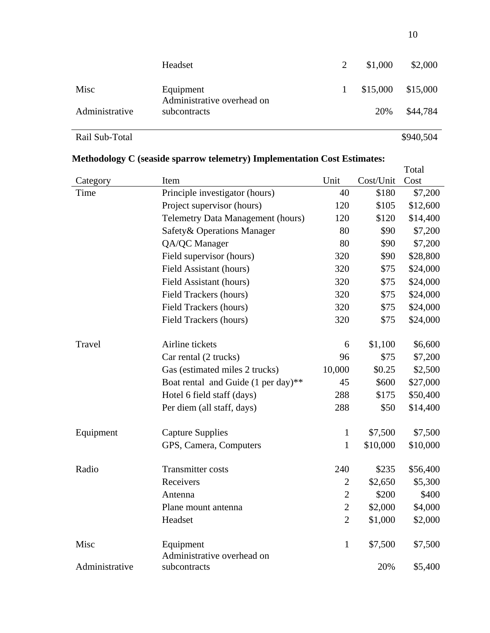|                | Headset                                                 | \$1,000 | \$2,000             |
|----------------|---------------------------------------------------------|---------|---------------------|
| Misc           | Equipment<br>Administrative overhead on<br>subcontracts |         | $$15,000$ $$15,000$ |
| Administrative |                                                         | 20%     | \$44,784            |

Rail Sub-Total \$940,504

# **Methodology C (seaside sparrow telemetry) Implementation Cost Estimates:**

|                |                                          |                |           | Total    |
|----------------|------------------------------------------|----------------|-----------|----------|
| Category       | Item                                     | Unit           | Cost/Unit | Cost     |
| Time           | Principle investigator (hours)           | 40             | \$180     | \$7,200  |
|                | Project supervisor (hours)               | 120            | \$105     | \$12,600 |
|                | <b>Telemetry Data Management (hours)</b> | 120            | \$120     | \$14,400 |
|                | Safety & Operations Manager              | 80             | \$90      | \$7,200  |
|                | QA/QC Manager                            | 80             | \$90      | \$7,200  |
|                | Field supervisor (hours)                 | 320            | \$90      | \$28,800 |
|                | Field Assistant (hours)                  | 320            | \$75      | \$24,000 |
|                | Field Assistant (hours)                  | 320            | \$75      | \$24,000 |
|                | Field Trackers (hours)                   | 320            | \$75      | \$24,000 |
|                | Field Trackers (hours)                   | 320            | \$75      | \$24,000 |
|                | Field Trackers (hours)                   | 320            | \$75      | \$24,000 |
|                |                                          |                |           |          |
| Travel         | Airline tickets                          | 6              | \$1,100   | \$6,600  |
|                | Car rental (2 trucks)                    | 96             | \$75      | \$7,200  |
|                | Gas (estimated miles 2 trucks)           | 10,000         | \$0.25    | \$2,500  |
|                | Boat rental and Guide (1 per day)**      | 45             | \$600     | \$27,000 |
|                | Hotel 6 field staff (days)               | 288            | \$175     | \$50,400 |
|                | Per diem (all staff, days)               | 288            | \$50      | \$14,400 |
|                |                                          |                |           |          |
| Equipment      | <b>Capture Supplies</b>                  | $\mathbf{1}$   | \$7,500   | \$7,500  |
|                | GPS, Camera, Computers                   | $\mathbf{1}$   | \$10,000  | \$10,000 |
|                |                                          |                |           |          |
| Radio          | Transmitter costs                        | 240            | \$235     | \$56,400 |
|                | Receivers                                | $\overline{2}$ | \$2,650   | \$5,300  |
|                | Antenna                                  | $\overline{2}$ | \$200     | \$400    |
|                | Plane mount antenna                      | $\overline{2}$ | \$2,000   | \$4,000  |
|                | Headset                                  | $\overline{2}$ | \$1,000   | \$2,000  |
|                |                                          |                |           |          |
| Misc           | Equipment                                | $\mathbf{1}$   | \$7,500   | \$7,500  |
|                | Administrative overhead on               |                |           |          |
| Administrative | subcontracts                             |                | 20%       | \$5,400  |

10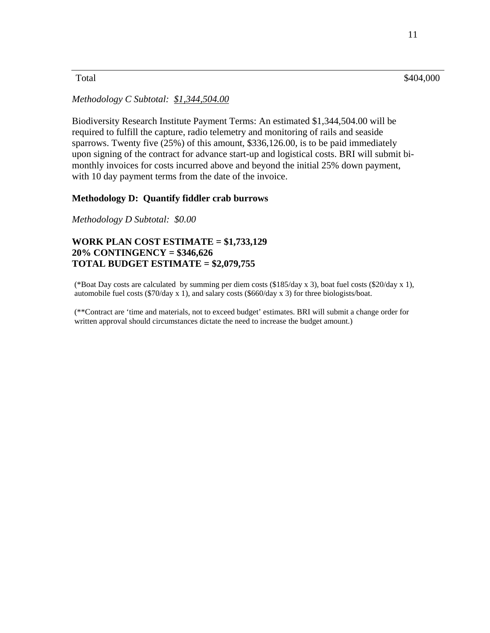# $\text{Total}$   $\$404,000$

# *Methodology C Subtotal: \$1,344,504.00*

Biodiversity Research Institute Payment Terms: An estimated \$1,344,504.00 will be required to fulfill the capture, radio telemetry and monitoring of rails and seaside sparrows. Twenty five (25%) of this amount, \$336,126.00, is to be paid immediately upon signing of the contract for advance start-up and logistical costs. BRI will submit bimonthly invoices for costs incurred above and beyond the initial 25% down payment, with 10 day payment terms from the date of the invoice.

#### **Methodology D: Quantify fiddler crab burrows**

*Methodology D Subtotal: \$0.00* 

# **WORK PLAN COST ESTIMATE = \$1,733,129 20% CONTINGENCY = \$346,626 TOTAL BUDGET ESTIMATE = \$2,079,755**

 (\*Boat Day costs are calculated by summing per diem costs (\$185/day x 3), boat fuel costs (\$20/day x 1), automobile fuel costs (\$70/day x 1), and salary costs (\$660/day x 3) for three biologists/boat.

(\*\*Contract are 'time and materials, not to exceed budget' estimates. BRI will submit a change order for written approval should circumstances dictate the need to increase the budget amount.)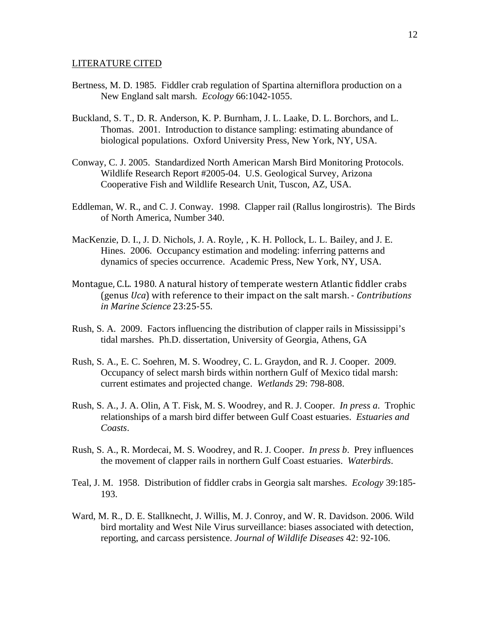#### LITERATURE CITED

- Bertness, M. D. 1985. Fiddler crab regulation of Spartina alterniflora production on a New England salt marsh. *Ecology* 66:1042-1055.
- Buckland, S. T., D. R. Anderson, K. P. Burnham, J. L. Laake, D. L. Borchors, and L. Thomas. 2001. Introduction to distance sampling: estimating abundance of biological populations. Oxford University Press, New York, NY, USA.
- Conway, C. J. 2005. Standardized North American Marsh Bird Monitoring Protocols. Wildlife Research Report #2005-04. U.S. Geological Survey, Arizona Cooperative Fish and Wildlife Research Unit, Tuscon, AZ, USA.
- Eddleman, W. R., and C. J. Conway. 1998. Clapper rail (Rallus longirostris). The Birds of North America, Number 340.
- MacKenzie, D. I., J. D. Nichols, J. A. Royle, , K. H. Pollock, L. L. Bailey, and J. E. Hines. 2006. Occupancy estimation and modeling: inferring patterns and dynamics of species occurrence. Academic Press, New York, NY, USA.
- *in Marine Science* 23:25‐55. Montague, C.L. 1980. A natural history of temperate western Atlantic fiddler crabs (genus *Uca*) with reference to their impact on the salt marsh. ‐ *Contributions*
- Rush, S. A. 2009. Factors influencing the distribution of clapper rails in Mississippi's tidal marshes. Ph.D. dissertation, University of Georgia, Athens, GA
- Rush, S. A., E. C. Soehren, M. S. Woodrey, C. L. Graydon, and R. J. Cooper. 2009. Occupancy of select marsh birds within northern Gulf of Mexico tidal marsh: current estimates and projected change. *Wetlands* 29: 798-808.
- Rush, S. A., J. A. Olin, A T. Fisk, M. S. Woodrey, and R. J. Cooper. *In press a*. Trophic relationships of a marsh bird differ between Gulf Coast estuaries. *Estuaries and Coasts*.
- Rush, S. A., R. Mordecai, M. S. Woodrey, and R. J. Cooper. *In press b*. Prey influences the movement of clapper rails in northern Gulf Coast estuaries. *Waterbirds*.
- Teal, J. M. 1958. Distribution of fiddler crabs in Georgia salt marshes. *Ecology* 39:185- 193.
- Ward, M. R., D. E. Stallknecht, J. Willis, M. J. Conroy, and W. R. Davidson. 2006. Wild bird mortality and West Nile Virus surveillance: biases associated with detection, reporting, and carcass persistence. *Journal of Wildlife Diseases* 42: 92-106.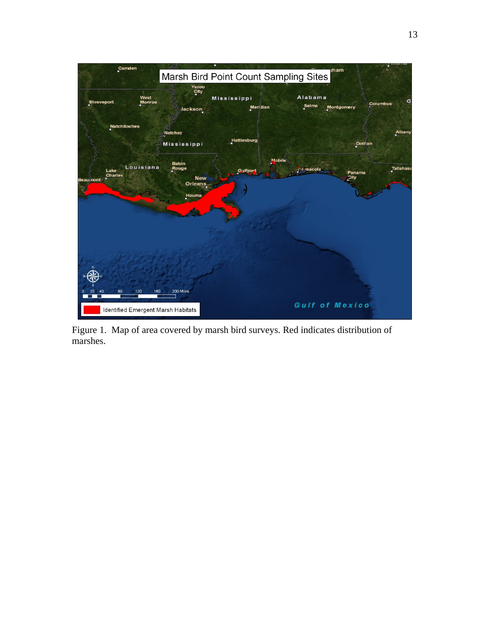

Figure 1. Map of area covered by marsh bird surveys. Red indicates distribution of marshes.